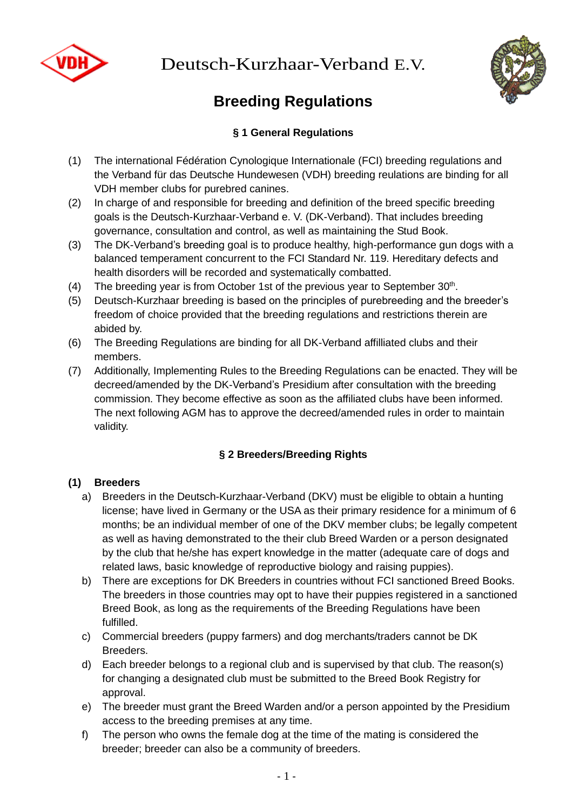

Deutsch-Kurzhaar-Verband E.V.



# **Breeding Regulations**

# **§ 1 General Regulations**

- (1) The international Fédération Cynologique Internationale (FCI) breeding regulations and the Verband für das Deutsche Hundewesen (VDH) breeding reulations are binding for all VDH member clubs for purebred canines.
- (2) In charge of and responsible for breeding and definition of the breed specific breeding goals is the Deutsch-Kurzhaar-Verband e. V. (DK-Verband). That includes breeding governance, consultation and control, as well as maintaining the Stud Book.
- (3) The DK-Verband's breeding goal is to produce healthy, high-performance gun dogs with a balanced temperament concurrent to the FCI Standard Nr. 119. Hereditary defects and health disorders will be recorded and systematically combatted.
- (4) The breeding year is from October 1st of the previous year to September  $30<sup>th</sup>$ .
- (5) Deutsch-Kurzhaar breeding is based on the principles of purebreeding and the breeder's freedom of choice provided that the breeding regulations and restrictions therein are abided by.
- (6) The Breeding Regulations are binding for all DK-Verband affilliated clubs and their members.
- (7) Additionally, Implementing Rules to the Breeding Regulations can be enacted. They will be decreed/amended by the DK-Verband's Presidium after consultation with the breeding commission. They become effective as soon as the affiliated clubs have been informed. The next following AGM has to approve the decreed/amended rules in order to maintain validity.

# **§ 2 Breeders/Breeding Rights**

#### **(1) Breeders**

- a) Breeders in the Deutsch-Kurzhaar-Verband (DKV) must be eligible to obtain a hunting license; have lived in Germany or the USA as their primary residence for a minimum of 6 months; be an individual member of one of the DKV member clubs; be legally competent as well as having demonstrated to the their club Breed Warden or a person designated by the club that he/she has expert knowledge in the matter (adequate care of dogs and related laws, basic knowledge of reproductive biology and raising puppies).
- b) There are exceptions for DK Breeders in countries without FCI sanctioned Breed Books. The breeders in those countries may opt to have their puppies registered in a sanctioned Breed Book, as long as the requirements of the Breeding Regulations have been fulfilled.
- c) Commercial breeders (puppy farmers) and dog merchants/traders cannot be DK Breeders.
- d) Each breeder belongs to a regional club and is supervised by that club. The reason(s) for changing a designated club must be submitted to the Breed Book Registry for approval.
- e) The breeder must grant the Breed Warden and/or a person appointed by the Presidium access to the breeding premises at any time.
- f) The person who owns the female dog at the time of the mating is considered the breeder; breeder can also be a community of breeders.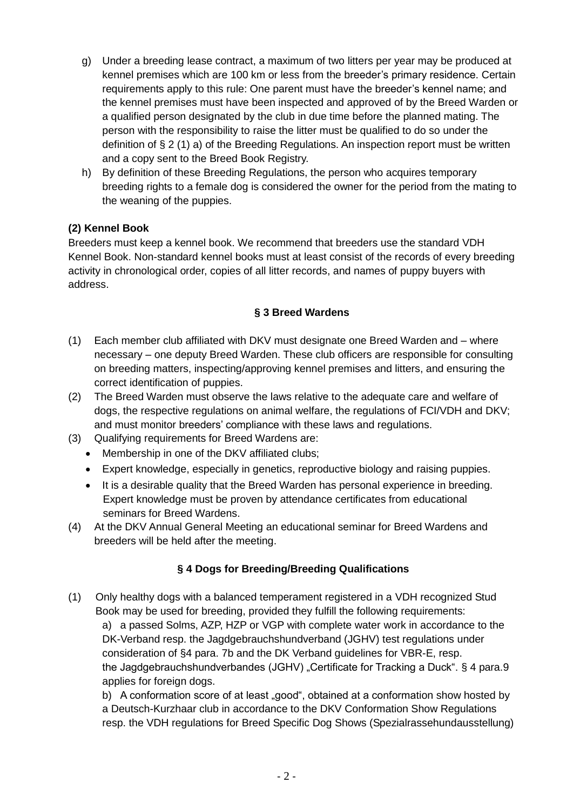- g) Under a breeding lease contract, a maximum of two litters per year may be produced at kennel premises which are 100 km or less from the breeder's primary residence. Certain requirements apply to this rule: One parent must have the breeder's kennel name; and the kennel premises must have been inspected and approved of by the Breed Warden or a qualified person designated by the club in due time before the planned mating. The person with the responsibility to raise the litter must be qualified to do so under the definition of  $\S 2(1)$  a) of the Breeding Regulations. An inspection report must be written and a copy sent to the Breed Book Registry.
- h) By definition of these Breeding Regulations, the person who acquires temporary breeding rights to a female dog is considered the owner for the period from the mating to the weaning of the puppies.

#### **(2) Kennel Book**

Breeders must keep a kennel book. We recommend that breeders use the standard VDH Kennel Book. Non-standard kennel books must at least consist of the records of every breeding activity in chronological order, copies of all litter records, and names of puppy buyers with address.

#### **§ 3 Breed Wardens**

- (1) Each member club affiliated with DKV must designate one Breed Warden and where necessary – one deputy Breed Warden. These club officers are responsible for consulting on breeding matters, inspecting/approving kennel premises and litters, and ensuring the correct identification of puppies.
- (2) The Breed Warden must observe the laws relative to the adequate care and welfare of dogs, the respective regulations on animal welfare, the regulations of FCI/VDH and DKV; and must monitor breeders' compliance with these laws and regulations.
- (3) Qualifying requirements for Breed Wardens are:
	- Membership in one of the DKV affiliated clubs;
	- Expert knowledge, especially in genetics, reproductive biology and raising puppies.
	- It is a desirable quality that the Breed Warden has personal experience in breeding. Expert knowledge must be proven by attendance certificates from educational seminars for Breed Wardens.
- (4) At the DKV Annual General Meeting an educational seminar for Breed Wardens and breeders will be held after the meeting.

# **§ 4 Dogs for Breeding/Breeding Qualifications**

(1) Only healthy dogs with a balanced temperament registered in a VDH recognized Stud Book may be used for breeding, provided they fulfill the following requirements: a) a passed Solms, AZP, HZP or VGP with complete water work in accordance to the DK-Verband resp. the Jagdgebrauchshundverband (JGHV) test regulations under consideration of §4 para. 7b and the DK Verband guidelines for VBR-E, resp. the Jagdgebrauchshundverbandes (JGHV) "Certificate for Tracking a Duck". § 4 para.9 applies for foreign dogs.

b) A conformation score of at least "good", obtained at a conformation show hosted by a Deutsch-Kurzhaar club in accordance to the DKV Conformation Show Regulations resp. the VDH regulations for Breed Specific Dog Shows (Spezialrassehundausstellung)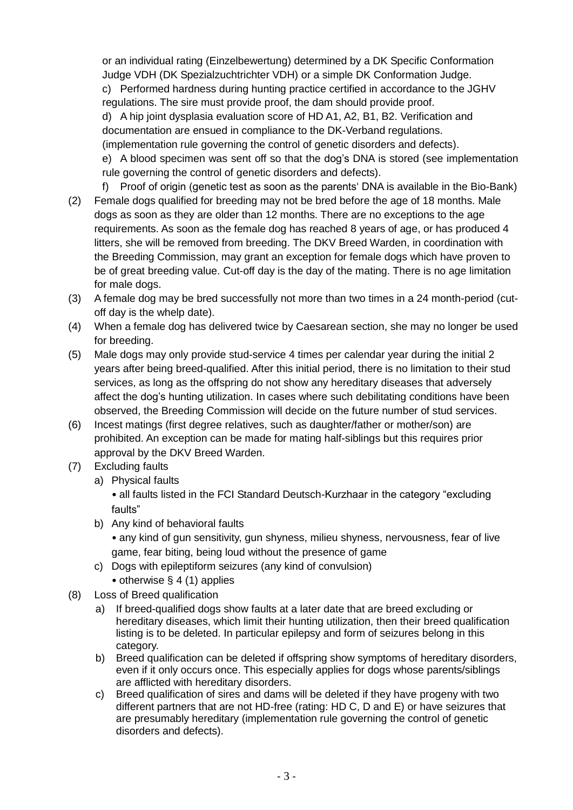or an individual rating (Einzelbewertung) determined by a DK Specific Conformation Judge VDH (DK Spezialzuchtrichter VDH) or a simple DK Conformation Judge. c) Performed hardness during hunting practice certified in accordance to the JGHV regulations. The sire must provide proof, the dam should provide proof. d) A hip joint dysplasia evaluation score of HD A1, A2, B1, B2. Verification and documentation are ensued in compliance to the DK-Verband regulations. (implementation rule governing the control of genetic disorders and defects). e) A blood specimen was sent off so that the dog's DNA is stored (see implementation rule governing the control of genetic disorders and defects).

- f) Proof of origin (genetic test as soon as the parents' DNA is available in the Bio-Bank) (2) Female dogs qualified for breeding may not be bred before the age of 18 months. Male dogs as soon as they are older than 12 months. There are no exceptions to the age requirements. As soon as the female dog has reached 8 years of age, or has produced 4 litters, she will be removed from breeding. The DKV Breed Warden, in coordination with the Breeding Commission, may grant an exception for female dogs which have proven to be of great breeding value. Cut-off day is the day of the mating. There is no age limitation for male dogs.
- (3) A female dog may be bred successfully not more than two times in a 24 month-period (cutoff day is the whelp date).
- (4) When a female dog has delivered twice by Caesarean section, she may no longer be used for breeding.
- (5) Male dogs may only provide stud-service 4 times per calendar year during the initial 2 years after being breed-qualified. After this initial period, there is no limitation to their stud services, as long as the offspring do not show any hereditary diseases that adversely affect the dog's hunting utilization. In cases where such debilitating conditions have been observed, the Breeding Commission will decide on the future number of stud services.
- (6) Incest matings (first degree relatives, such as daughter/father or mother/son) are prohibited. An exception can be made for mating half-siblings but this requires prior approval by the DKV Breed Warden.
- (7) Excluding faults
	- a) Physical faults
		- all faults listed in the FCI Standard Deutsch-Kurzhaar in the category "excluding faults"
	- b) Any kind of behavioral faults
		- any kind of gun sensitivity, gun shyness, milieu shyness, nervousness, fear of live game, fear biting, being loud without the presence of game
	- c) Dogs with epileptiform seizures (any kind of convulsion)
		- otherwise § 4 (1) applies
- (8) Loss of Breed qualification
	- a) If breed-qualified dogs show faults at a later date that are breed excluding or hereditary diseases, which limit their hunting utilization, then their breed qualification listing is to be deleted. In particular epilepsy and form of seizures belong in this category.
	- b) Breed qualification can be deleted if offspring show symptoms of hereditary disorders, even if it only occurs once. This especially applies for dogs whose parents/siblings are afflicted with hereditary disorders.
	- c) Breed qualification of sires and dams will be deleted if they have progeny with two different partners that are not HD-free (rating: HD C, D and E) or have seizures that are presumably hereditary (implementation rule governing the control of genetic disorders and defects).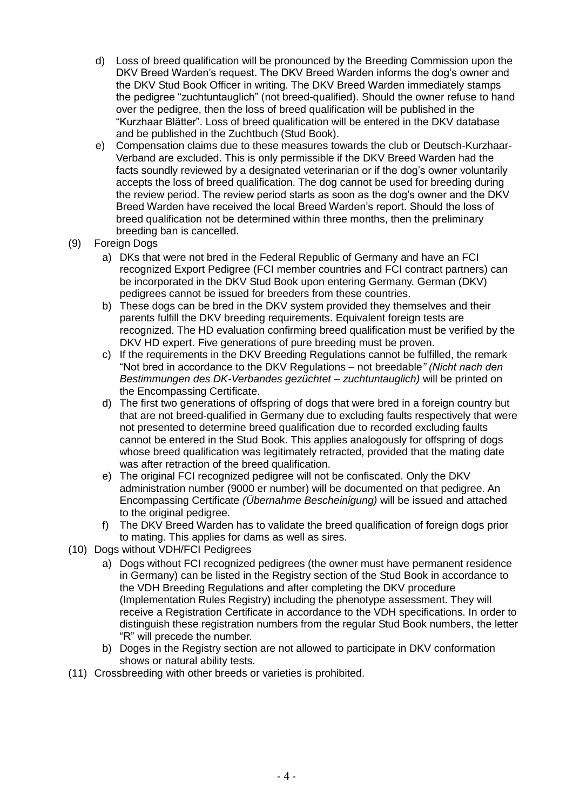- d) Loss of breed qualification will be pronounced by the Breeding Commission upon the DKV Breed Warden's request. The DKV Breed Warden informs the dog's owner and the DKV Stud Book Officer in writing. The DKV Breed Warden immediately stamps the pedigree "zuchtuntauglich" (not breed-qualified). Should the owner refuse to hand over the pedigree, then the loss of breed qualification will be published in the "Kurzhaar Blätter". Loss of breed qualification will be entered in the DKV database and be published in the Zuchtbuch (Stud Book).
- e) Compensation claims due to these measures towards the club or Deutsch-Kurzhaar-Verband are excluded. This is only permissible if the DKV Breed Warden had the facts soundly reviewed by a designated veterinarian or if the dog's owner voluntarily accepts the loss of breed qualification. The dog cannot be used for breeding during the review period. The review period starts as soon as the dog's owner and the DKV Breed Warden have received the local Breed Warden's report. Should the loss of breed qualification not be determined within three months, then the preliminary breeding ban is cancelled.
- (9) Foreign Dogs
	- a) DKs that were not bred in the Federal Republic of Germany and have an FCI recognized Export Pedigree (FCI member countries and FCI contract partners) can be incorporated in the DKV Stud Book upon entering Germany. German (DKV) pedigrees cannot be issued for breeders from these countries.
	- b) These dogs can be bred in the DKV system provided they themselves and their parents fulfill the DKV breeding requirements. Equivalent foreign tests are recognized. The HD evaluation confirming breed qualification must be verified by the DKV HD expert. Five generations of pure breeding must be proven.
	- c) If the requirements in the DKV Breeding Regulations cannot be fulfilled, the remark "Not bred in accordance to the DKV Regulations – not breedable*" (Nicht nach den Bestimmungen des DK-Verbandes gezüchtet – zuchtuntauglich)* will be printed on the Encompassing Certificate.
	- d) The first two generations of offspring of dogs that were bred in a foreign country but that are not breed-qualified in Germany due to excluding faults respectively that were not presented to determine breed qualification due to recorded excluding faults cannot be entered in the Stud Book. This applies analogously for offspring of dogs whose breed qualification was legitimately retracted, provided that the mating date was after retraction of the breed qualification.
	- e) The original FCI recognized pedigree will not be confiscated. Only the DKV administration number (9000 er number) will be documented on that pedigree. An Encompassing Certificate *(Übernahme Bescheinigung)* will be issued and attached to the original pedigree.
	- f) The DKV Breed Warden has to validate the breed qualification of foreign dogs prior to mating. This applies for dams as well as sires.
- (10) Dogs without VDH/FCI Pedigrees
	- a) Dogs without FCI recognized pedigrees (the owner must have permanent residence in Germany) can be listed in the Registry section of the Stud Book in accordance to the VDH Breeding Regulations and after completing the DKV procedure (Implementation Rules Registry) including the phenotype assessment. They will receive a Registration Certificate in accordance to the VDH specifications. In order to distinguish these registration numbers from the regular Stud Book numbers, the letter "R" will precede the number.
	- b) Doges in the Registry section are not allowed to participate in DKV conformation shows or natural ability tests.
- (11) Crossbreeding with other breeds or varieties is prohibited.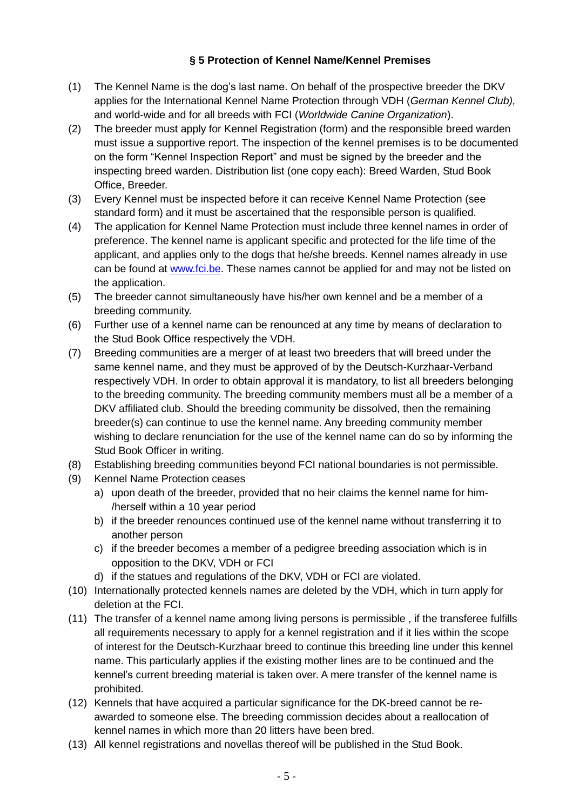#### **§ 5 Protection of Kennel Name/Kennel Premises**

- (1) The Kennel Name is the dog's last name. On behalf of the prospective breeder the DKV applies for the International Kennel Name Protection through VDH (*German Kennel Club),*  and world-wide and for all breeds with FCI (*Worldwide Canine Organization*).
- (2) The breeder must apply for Kennel Registration (form) and the responsible breed warden must issue a supportive report. The inspection of the kennel premises is to be documented on the form "Kennel Inspection Report" and must be signed by the breeder and the inspecting breed warden. Distribution list (one copy each): Breed Warden, Stud Book Office, Breeder.
- (3) Every Kennel must be inspected before it can receive Kennel Name Protection (see standard form) and it must be ascertained that the responsible person is qualified.
- (4) The application for Kennel Name Protection must include three kennel names in order of preference. The kennel name is applicant specific and protected for the life time of the applicant, and applies only to the dogs that he/she breeds. Kennel names already in use can be found at [www.fci.be.](http://www.fci.be/) These names cannot be applied for and may not be listed on the application.
- (5) The breeder cannot simultaneously have his/her own kennel and be a member of a breeding community.
- (6) Further use of a kennel name can be renounced at any time by means of declaration to the Stud Book Office respectively the VDH.
- (7) Breeding communities are a merger of at least two breeders that will breed under the same kennel name, and they must be approved of by the Deutsch-Kurzhaar-Verband respectively VDH. In order to obtain approval it is mandatory, to list all breeders belonging to the breeding community. The breeding community members must all be a member of a DKV affiliated club. Should the breeding community be dissolved, then the remaining breeder(s) can continue to use the kennel name. Any breeding community member wishing to declare renunciation for the use of the kennel name can do so by informing the Stud Book Officer in writing.
- (8) Establishing breeding communities beyond FCI national boundaries is not permissible.
- (9) Kennel Name Protection ceases
	- a) upon death of the breeder, provided that no heir claims the kennel name for him- /herself within a 10 year period
	- b) if the breeder renounces continued use of the kennel name without transferring it to another person
	- c) if the breeder becomes a member of a pedigree breeding association which is in opposition to the DKV, VDH or FCI
	- d) if the statues and regulations of the DKV, VDH or FCI are violated.
- (10) Internationally protected kennels names are deleted by the VDH, which in turn apply for deletion at the FCI.
- (11) The transfer of a kennel name among living persons is permissible , if the transferee fulfills all requirements necessary to apply for a kennel registration and if it lies within the scope of interest for the Deutsch-Kurzhaar breed to continue this breeding line under this kennel name. This particularly applies if the existing mother lines are to be continued and the kennel's current breeding material is taken over. A mere transfer of the kennel name is prohibited.
- (12) Kennels that have acquired a particular significance for the DK-breed cannot be reawarded to someone else. The breeding commission decides about a reallocation of kennel names in which more than 20 litters have been bred.
- (13) All kennel registrations and novellas thereof will be published in the Stud Book.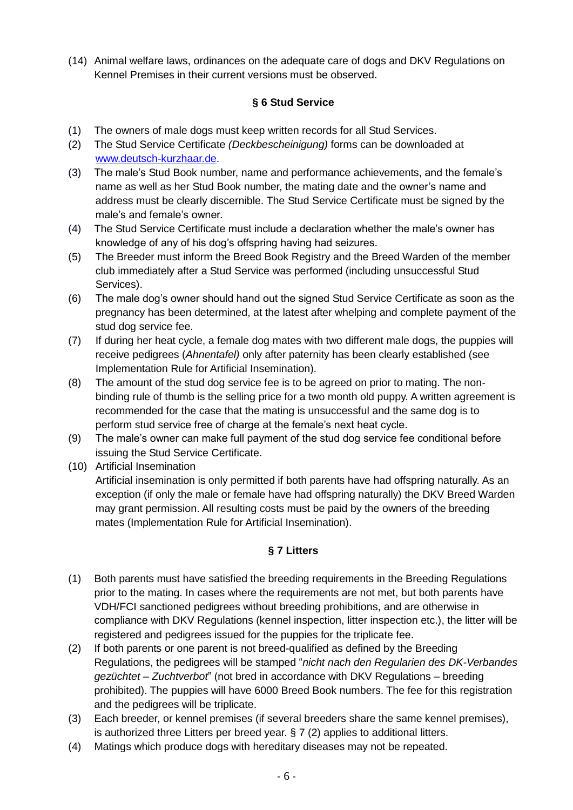(14) Animal welfare laws, ordinances on the adequate care of dogs and DKV Regulations on Kennel Premises in their current versions must be observed.

### **§ 6 Stud Service**

- (1) The owners of male dogs must keep written records for all Stud Services.
- (2) The Stud Service Certificate *(Deckbescheinigung)* forms can be downloaded at [www.deutsch-kurzhaar.de.](http://www.deutsch-kurzhaar.de/)
- (3) The male's Stud Book number, name and performance achievements, and the female's name as well as her Stud Book number, the mating date and the owner's name and address must be clearly discernible. The Stud Service Certificate must be signed by the male's and female's owner.
- (4) The Stud Service Certificate must include a declaration whether the male's owner has knowledge of any of his dog's offspring having had seizures.
- (5) The Breeder must inform the Breed Book Registry and the Breed Warden of the member club immediately after a Stud Service was performed (including unsuccessful Stud Services).
- (6) The male dog's owner should hand out the signed Stud Service Certificate as soon as the pregnancy has been determined, at the latest after whelping and complete payment of the stud dog service fee.
- (7) If during her heat cycle, a female dog mates with two different male dogs, the puppies will receive pedigrees (*Ahnentafel)* only after paternity has been clearly established (see Implementation Rule for Artificial Insemination).
- (8) The amount of the stud dog service fee is to be agreed on prior to mating. The nonbinding rule of thumb is the selling price for a two month old puppy. A written agreement is recommended for the case that the mating is unsuccessful and the same dog is to perform stud service free of charge at the female's next heat cycle.
- (9) The male's owner can make full payment of the stud dog service fee conditional before issuing the Stud Service Certificate.
- (10) Artificial Insemination
	- Artificial insemination is only permitted if both parents have had offspring naturally. As an exception (if only the male or female have had offspring naturally) the DKV Breed Warden may grant permission. All resulting costs must be paid by the owners of the breeding mates (Implementation Rule for Artificial Insemination).

# **§ 7 Litters**

- (1) Both parents must have satisfied the breeding requirements in the Breeding Regulations prior to the mating. In cases where the requirements are not met, but both parents have VDH/FCI sanctioned pedigrees without breeding prohibitions, and are otherwise in compliance with DKV Regulations (kennel inspection, litter inspection etc.), the litter will be registered and pedigrees issued for the puppies for the triplicate fee.
- (2) If both parents or one parent is not breed-qualified as defined by the Breeding Regulations, the pedigrees will be stamped "*nicht nach den Regularien des DK-Verbandes gezüchtet – Zuchtverbot*" (not bred in accordance with DKV Regulations – breeding prohibited). The puppies will have 6000 Breed Book numbers. The fee for this registration and the pedigrees will be triplicate.
- (3) Each breeder, or kennel premises (if several breeders share the same kennel premises), is authorized three Litters per breed year. § 7 (2) applies to additional litters.
- (4) Matings which produce dogs with hereditary diseases may not be repeated.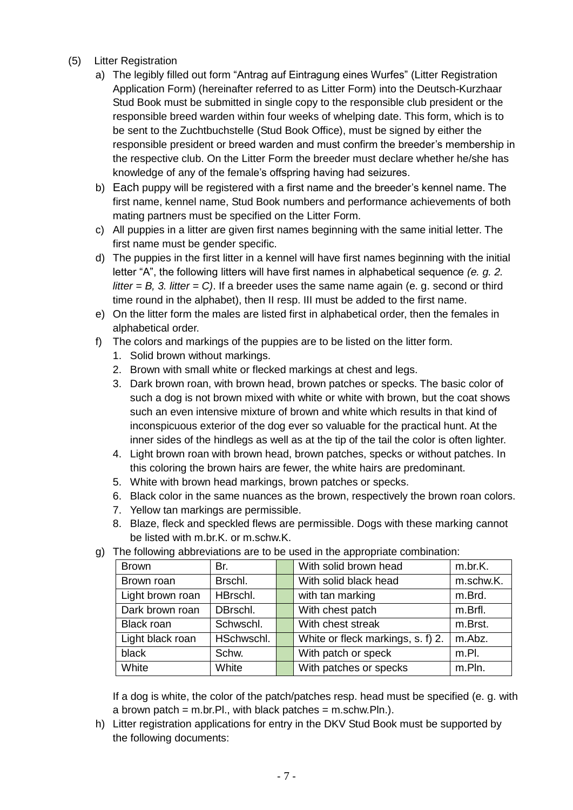- (5) Litter Registration
	- a) The legibly filled out form "Antrag auf Eintragung eines Wurfes" (Litter Registration Application Form) (hereinafter referred to as Litter Form) into the Deutsch-Kurzhaar Stud Book must be submitted in single copy to the responsible club president or the responsible breed warden within four weeks of whelping date. This form, which is to be sent to the Zuchtbuchstelle (Stud Book Office), must be signed by either the responsible president or breed warden and must confirm the breeder's membership in the respective club. On the Litter Form the breeder must declare whether he/she has knowledge of any of the female's offspring having had seizures.
	- b) Each puppy will be registered with a first name and the breeder's kennel name. The first name, kennel name, Stud Book numbers and performance achievements of both mating partners must be specified on the Litter Form.
	- c) All puppies in a litter are given first names beginning with the same initial letter. The first name must be gender specific.
	- d) The puppies in the first litter in a kennel will have first names beginning with the initial letter "A", the following litters will have first names in alphabetical sequence *(e. g. 2. litter*  $=$  *B, 3. litter*  $=$  *C).* If a breeder uses the same name again (e. g. second or third time round in the alphabet), then II resp. III must be added to the first name.
	- e) On the litter form the males are listed first in alphabetical order, then the females in alphabetical order.
	- f) The colors and markings of the puppies are to be listed on the litter form.
		- 1. Solid brown without markings.
		- 2. Brown with small white or flecked markings at chest and legs.
		- 3. Dark brown roan, with brown head, brown patches or specks. The basic color of such a dog is not brown mixed with white or white with brown, but the coat shows such an even intensive mixture of brown and white which results in that kind of inconspicuous exterior of the dog ever so valuable for the practical hunt. At the inner sides of the hindlegs as well as at the tip of the tail the color is often lighter.
		- 4. Light brown roan with brown head, brown patches, specks or without patches. In this coloring the brown hairs are fewer, the white hairs are predominant.
		- 5. White with brown head markings, brown patches or specks.
		- 6. Black color in the same nuances as the brown, respectively the brown roan colors.
		- 7. Yellow tan markings are permissible.
		- 8. Blaze, fleck and speckled flews are permissible. Dogs with these marking cannot be listed with m.br.K. or m.schw.K.

| <b>Brown</b>     | Br.        | With solid brown head             | m.br.K.   |
|------------------|------------|-----------------------------------|-----------|
| Brown roan       | Brschl.    | With solid black head             | m.schw.K. |
| Light brown roan | HBrschl.   | with tan marking                  | m.Brd.    |
| Dark brown roan  | DBrschl.   | With chest patch                  | m.Brfl.   |
| Black roan       | Schwschl.  | With chest streak                 | m.Brst.   |
| Light black roan | HSchwschl. | White or fleck markings, s. f) 2. | m.Abz.    |
| black            | Schw.      | With patch or speck               | $m.P$ .   |
| White            | White      | With patches or specks            | m.Pln.    |

g) The following abbreviations are to be used in the appropriate combination:

If a dog is white, the color of the patch/patches resp. head must be specified (e. g. with a brown patch = m.br.Pl., with black patches = m.schw.Pln.).

h) Litter registration applications for entry in the DKV Stud Book must be supported by the following documents: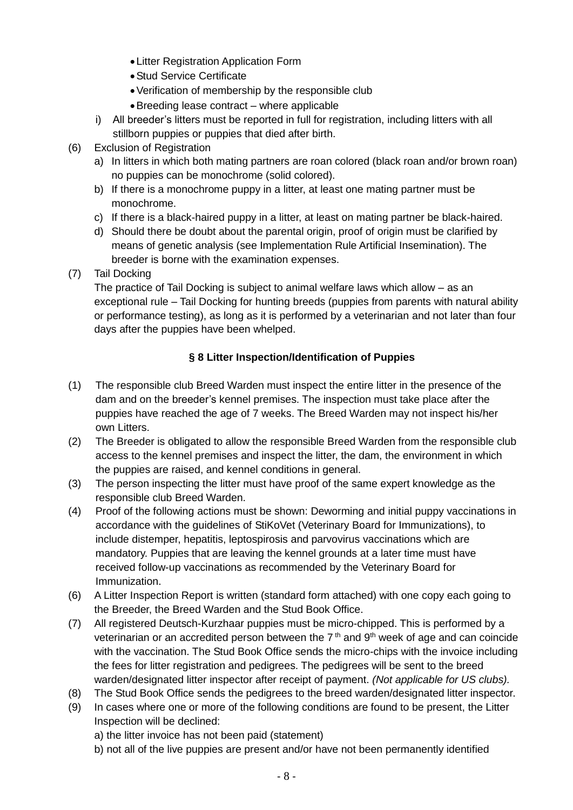- Litter Registration Application Form
- Stud Service Certificate
- Verification of membership by the responsible club
- Breeding lease contract where applicable
- i) All breeder's litters must be reported in full for registration, including litters with all stillborn puppies or puppies that died after birth.
- (6) Exclusion of Registration
	- a) In litters in which both mating partners are roan colored (black roan and/or brown roan) no puppies can be monochrome (solid colored).
	- b) If there is a monochrome puppy in a litter, at least one mating partner must be monochrome.
	- c) If there is a black-haired puppy in a litter, at least on mating partner be black-haired.
	- d) Should there be doubt about the parental origin, proof of origin must be clarified by means of genetic analysis (see Implementation Rule Artificial Insemination). The breeder is borne with the examination expenses.
- (7) Tail Docking

The practice of Tail Docking is subject to animal welfare laws which allow – as an exceptional rule – Tail Docking for hunting breeds (puppies from parents with natural ability or performance testing), as long as it is performed by a veterinarian and not later than four days after the puppies have been whelped.

# **§ 8 Litter Inspection/Identification of Puppies**

- (1) The responsible club Breed Warden must inspect the entire litter in the presence of the dam and on the breeder's kennel premises. The inspection must take place after the puppies have reached the age of 7 weeks. The Breed Warden may not inspect his/her own Litters.
- (2) The Breeder is obligated to allow the responsible Breed Warden from the responsible club access to the kennel premises and inspect the litter, the dam, the environment in which the puppies are raised, and kennel conditions in general.
- (3) The person inspecting the litter must have proof of the same expert knowledge as the responsible club Breed Warden.
- (4) Proof of the following actions must be shown: Deworming and initial puppy vaccinations in accordance with the guidelines of StiKoVet (Veterinary Board for Immunizations), to include distemper, hepatitis, leptospirosis and parvovirus vaccinations which are mandatory. Puppies that are leaving the kennel grounds at a later time must have received follow-up vaccinations as recommended by the Veterinary Board for Immunization.
- (6) A Litter Inspection Report is written (standard form attached) with one copy each going to the Breeder, the Breed Warden and the Stud Book Office.
- (7) All registered Deutsch-Kurzhaar puppies must be micro-chipped. This is performed by a veterinarian or an accredited person between the  $7<sup>th</sup>$  and  $9<sup>th</sup>$  week of age and can coincide with the vaccination. The Stud Book Office sends the micro-chips with the invoice including the fees for litter registration and pedigrees. The pedigrees will be sent to the breed warden/designated litter inspector after receipt of payment. *(Not applicable for US clubs).*
- (8) The Stud Book Office sends the pedigrees to the breed warden/designated litter inspector.
- (9) In cases where one or more of the following conditions are found to be present, the Litter Inspection will be declined:
	- a) the litter invoice has not been paid (statement)
	- b) not all of the live puppies are present and/or have not been permanently identified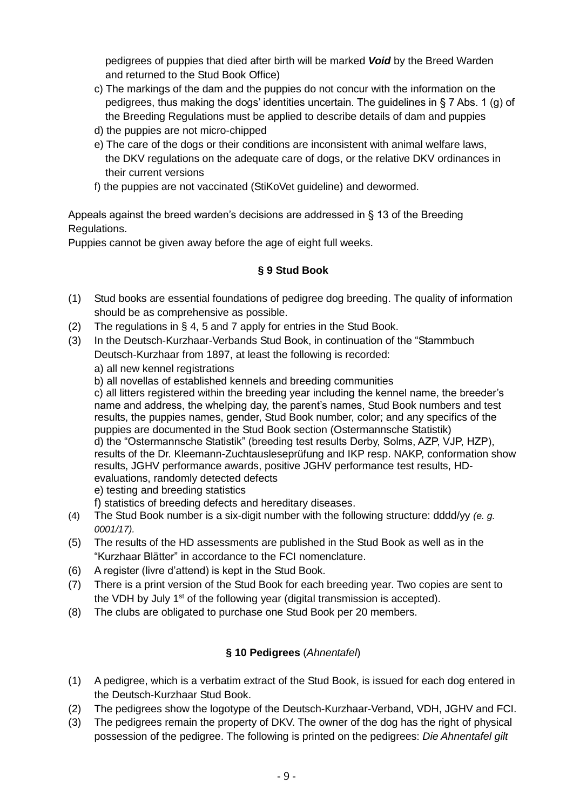pedigrees of puppies that died after birth will be marked *Void* by the Breed Warden and returned to the Stud Book Office)

- c) The markings of the dam and the puppies do not concur with the information on the pedigrees, thus making the dogs' identities uncertain. The guidelines in § 7 Abs. 1 (g) of the Breeding Regulations must be applied to describe details of dam and puppies
- d) the puppies are not micro-chipped
- e) The care of the dogs or their conditions are inconsistent with animal welfare laws, the DKV regulations on the adequate care of dogs, or the relative DKV ordinances in their current versions
- f) the puppies are not vaccinated (StiKoVet guideline) and dewormed.

Appeals against the breed warden's decisions are addressed in § 13 of the Breeding Regulations.

Puppies cannot be given away before the age of eight full weeks.

# **§ 9 Stud Book**

- (1) Stud books are essential foundations of pedigree dog breeding. The quality of information should be as comprehensive as possible.
- (2) The regulations in § 4, 5 and 7 apply for entries in the Stud Book.
- (3) In the Deutsch-Kurzhaar-Verbands Stud Book, in continuation of the "Stammbuch Deutsch-Kurzhaar from 1897, at least the following is recorded:
	- a) all new kennel registrations
	- b) all novellas of established kennels and breeding communities

c) all litters registered within the breeding year including the kennel name, the breeder's name and address, the whelping day, the parent's names, Stud Book numbers and test results, the puppies names, gender, Stud Book number, color; and any specifics of the puppies are documented in the Stud Book section (Ostermannsche Statistik) d) the "Ostermannsche Statistik" (breeding test results Derby, Solms, AZP, VJP, HZP), results of the Dr. Kleemann-Zuchtausleseprüfung and IKP resp. NAKP, conformation show results, JGHV performance awards, positive JGHV performance test results, HDevaluations, randomly detected defects

- e) testing and breeding statistics
- f) statistics of breeding defects and hereditary diseases.
- (4) The Stud Book number is a six-digit number with the following structure: dddd/yy *(e. g. 0001/17).*
- (5) The results of the HD assessments are published in the Stud Book as well as in the "Kurzhaar Blätter" in accordance to the FCI nomenclature.
- (6) A register (livre d'attend) is kept in the Stud Book.
- (7) There is a print version of the Stud Book for each breeding year. Two copies are sent to the VDH by July  $1<sup>st</sup>$  of the following year (digital transmission is accepted).
- (8) The clubs are obligated to purchase one Stud Book per 20 members.

# **§ 10 Pedigrees** (*Ahnentafel*)

- (1) A pedigree, which is a verbatim extract of the Stud Book, is issued for each dog entered in the Deutsch-Kurzhaar Stud Book.
- (2) The pedigrees show the logotype of the Deutsch-Kurzhaar-Verband, VDH, JGHV and FCI.
- (3) The pedigrees remain the property of DKV. The owner of the dog has the right of physical possession of the pedigree. The following is printed on the pedigrees: *Die Ahnentafel gilt*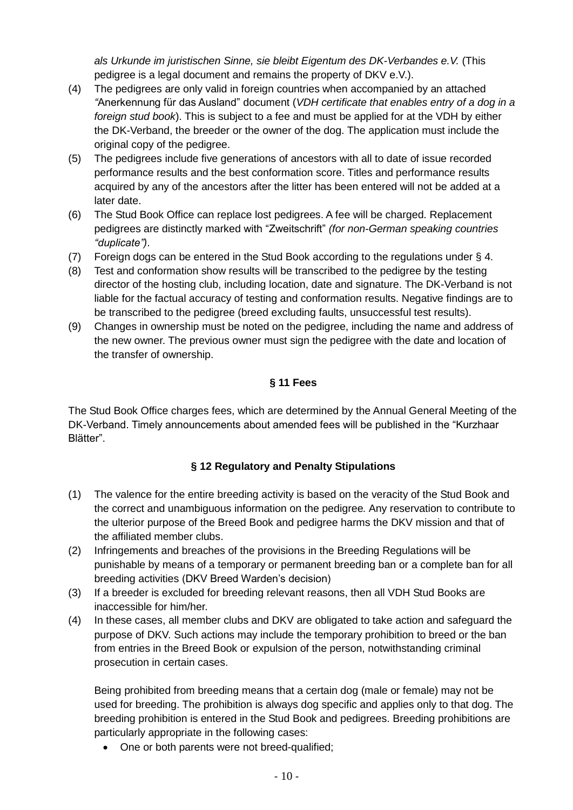*als Urkunde im juristischen Sinne, sie bleibt Eigentum des DK-Verbandes e.V.* (This pedigree is a legal document and remains the property of DKV e.V.).

- (4) The pedigrees are only valid in foreign countries when accompanied by an attached *"*Anerkennung für das Ausland" document (*VDH certificate that enables entry of a dog in a foreign stud book*). This is subject to a fee and must be applied for at the VDH by either the DK-Verband, the breeder or the owner of the dog. The application must include the original copy of the pedigree.
- (5) The pedigrees include five generations of ancestors with all to date of issue recorded performance results and the best conformation score. Titles and performance results acquired by any of the ancestors after the litter has been entered will not be added at a later date.
- (6) The Stud Book Office can replace lost pedigrees. A fee will be charged. Replacement pedigrees are distinctly marked with "Zweitschrift" *(for non-German speaking countries "duplicate")*.
- (7) Foreign dogs can be entered in the Stud Book according to the regulations under § 4.
- (8) Test and conformation show results will be transcribed to the pedigree by the testing director of the hosting club, including location, date and signature. The DK-Verband is not liable for the factual accuracy of testing and conformation results. Negative findings are to be transcribed to the pedigree (breed excluding faults, unsuccessful test results).
- (9) Changes in ownership must be noted on the pedigree, including the name and address of the new owner. The previous owner must sign the pedigree with the date and location of the transfer of ownership.

# **§ 11 Fees**

The Stud Book Office charges fees, which are determined by the Annual General Meeting of the DK-Verband. Timely announcements about amended fees will be published in the "Kurzhaar Blätter".

# **§ 12 Regulatory and Penalty Stipulations**

- (1) The valence for the entire breeding activity is based on the veracity of the Stud Book and the correct and unambiguous information on the pedigree*.* Any reservation to contribute to the ulterior purpose of the Breed Book and pedigree harms the DKV mission and that of the affiliated member clubs.
- (2) Infringements and breaches of the provisions in the Breeding Regulations will be punishable by means of a temporary or permanent breeding ban or a complete ban for all breeding activities (DKV Breed Warden's decision)
- (3) If a breeder is excluded for breeding relevant reasons, then all VDH Stud Books are inaccessible for him/her.
- (4) In these cases, all member clubs and DKV are obligated to take action and safeguard the purpose of DKV. Such actions may include the temporary prohibition to breed or the ban from entries in the Breed Book or expulsion of the person, notwithstanding criminal prosecution in certain cases.

Being prohibited from breeding means that a certain dog (male or female) may not be used for breeding. The prohibition is always dog specific and applies only to that dog. The breeding prohibition is entered in the Stud Book and pedigrees. Breeding prohibitions are particularly appropriate in the following cases:

• One or both parents were not breed-qualified;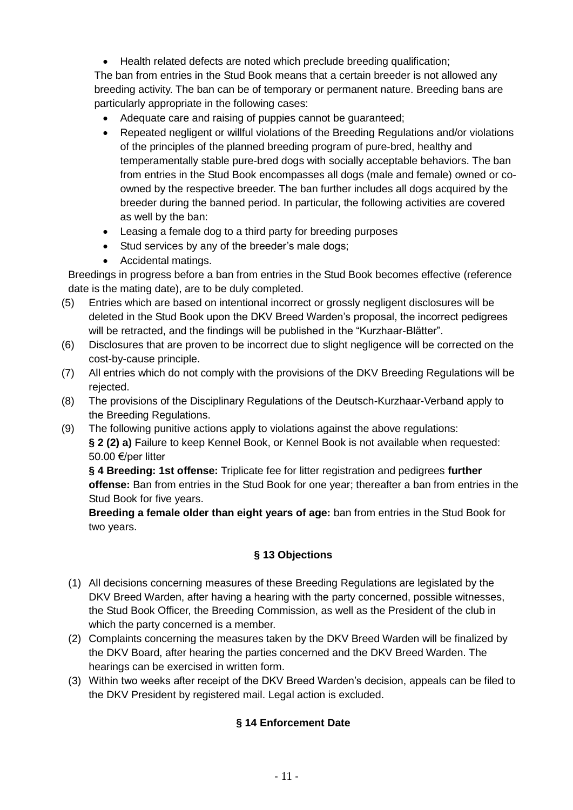• Health related defects are noted which preclude breeding qualification;

The ban from entries in the Stud Book means that a certain breeder is not allowed any breeding activity. The ban can be of temporary or permanent nature. Breeding bans are particularly appropriate in the following cases:

- Adequate care and raising of puppies cannot be guaranteed;
- Repeated negligent or willful violations of the Breeding Regulations and/or violations of the principles of the planned breeding program of pure-bred, healthy and temperamentally stable pure-bred dogs with socially acceptable behaviors. The ban from entries in the Stud Book encompasses all dogs (male and female) owned or coowned by the respective breeder. The ban further includes all dogs acquired by the breeder during the banned period. In particular, the following activities are covered as well by the ban:
- Leasing a female dog to a third party for breeding purposes
- Stud services by any of the breeder's male dogs;
- Accidental matings.

Breedings in progress before a ban from entries in the Stud Book becomes effective (reference date is the mating date), are to be duly completed.

- (5) Entries which are based on intentional incorrect or grossly negligent disclosures will be deleted in the Stud Book upon the DKV Breed Warden's proposal, the incorrect pedigrees will be retracted, and the findings will be published in the "Kurzhaar-Blätter".
- (6) Disclosures that are proven to be incorrect due to slight negligence will be corrected on the cost-by-cause principle.
- (7) All entries which do not comply with the provisions of the DKV Breeding Regulations will be rejected.
- (8) The provisions of the Disciplinary Regulations of the Deutsch-Kurzhaar-Verband apply to the Breeding Regulations.
- (9) The following punitive actions apply to violations against the above regulations: **§ 2 (2) a)** Failure to keep Kennel Book, or Kennel Book is not available when requested: 50.00 €/per litter

**§ 4 Breeding: 1st offense:** Triplicate fee for litter registration and pedigrees **further offense:** Ban from entries in the Stud Book for one year; thereafter a ban from entries in the Stud Book for five years.

**Breeding a female older than eight years of age:** ban from entries in the Stud Book for two years.

# **§ 13 Objections**

- (1) All decisions concerning measures of these Breeding Regulations are legislated by the DKV Breed Warden, after having a hearing with the party concerned, possible witnesses, the Stud Book Officer, the Breeding Commission, as well as the President of the club in which the party concerned is a member.
- (2) Complaints concerning the measures taken by the DKV Breed Warden will be finalized by the DKV Board, after hearing the parties concerned and the DKV Breed Warden. The hearings can be exercised in written form.
- (3) Within two weeks after receipt of the DKV Breed Warden's decision, appeals can be filed to the DKV President by registered mail. Legal action is excluded.

# **§ 14 Enforcement Date**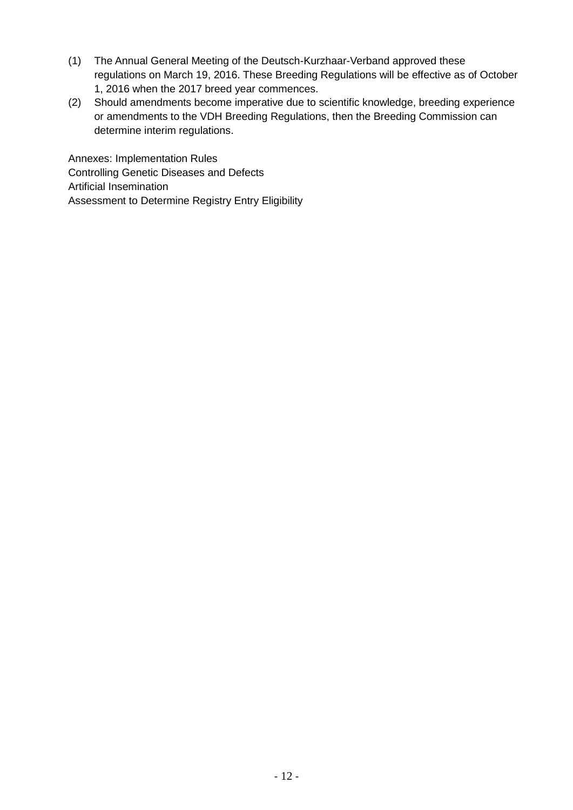- (1) The Annual General Meeting of the Deutsch-Kurzhaar-Verband approved these regulations on March 19, 2016. These Breeding Regulations will be effective as of October 1, 2016 when the 2017 breed year commences.
- (2) Should amendments become imperative due to scientific knowledge, breeding experience or amendments to the VDH Breeding Regulations, then the Breeding Commission can determine interim regulations.

Annexes: Implementation Rules Controlling Genetic Diseases and Defects Artificial Insemination Assessment to Determine Registry Entry Eligibility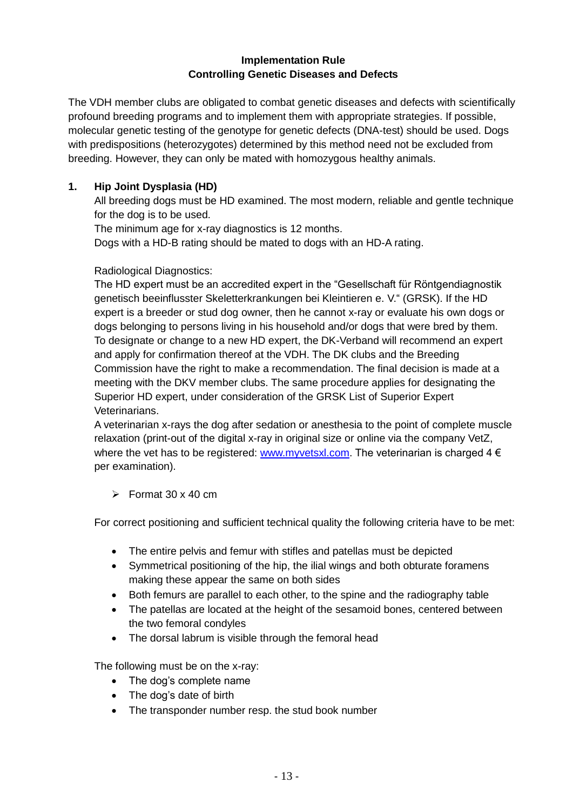#### **Implementation Rule Controlling Genetic Diseases and Defects**

The VDH member clubs are obligated to combat genetic diseases and defects with scientifically profound breeding programs and to implement them with appropriate strategies. If possible, molecular genetic testing of the genotype for genetic defects (DNA-test) should be used. Dogs with predispositions (heterozygotes) determined by this method need not be excluded from breeding. However, they can only be mated with homozygous healthy animals.

#### **1. Hip Joint Dysplasia (HD)**

All breeding dogs must be HD examined. The most modern, reliable and gentle technique for the dog is to be used.

The minimum age for x-ray diagnostics is 12 months.

Dogs with a HD-B rating should be mated to dogs with an HD-A rating.

#### Radiological Diagnostics:

The HD expert must be an accredited expert in the "Gesellschaft für Röntgendiagnostik genetisch beeinflusster Skeletterkrankungen bei Kleintieren e. V." (GRSK). If the HD expert is a breeder or stud dog owner, then he cannot x-ray or evaluate his own dogs or dogs belonging to persons living in his household and/or dogs that were bred by them. To designate or change to a new HD expert, the DK-Verband will recommend an expert and apply for confirmation thereof at the VDH. The DK clubs and the Breeding Commission have the right to make a recommendation. The final decision is made at a meeting with the DKV member clubs. The same procedure applies for designating the Superior HD expert, under consideration of the GRSK List of Superior Expert Veterinarians.

A veterinarian x-rays the dog after sedation or anesthesia to the point of complete muscle relaxation (print-out of the digital x-ray in original size or online via the company VetZ, where the vet has to be registered: [www.myvetsxl.com.](http://www.myvetsxl.com/) The veterinarian is charged  $4 \in$ per examination).

#### $\triangleright$  Format 30 x 40 cm

For correct positioning and sufficient technical quality the following criteria have to be met:

- The entire pelvis and femur with stifles and patellas must be depicted
- Symmetrical positioning of the hip, the ilial wings and both obturate foramens making these appear the same on both sides
- Both femurs are parallel to each other, to the spine and the radiography table
- The patellas are located at the height of the sesamoid bones, centered between the two femoral condyles
- The dorsal labrum is visible through the femoral head

The following must be on the x-ray:

- The dog's complete name
- The dog's date of birth
- The transponder number resp. the stud book number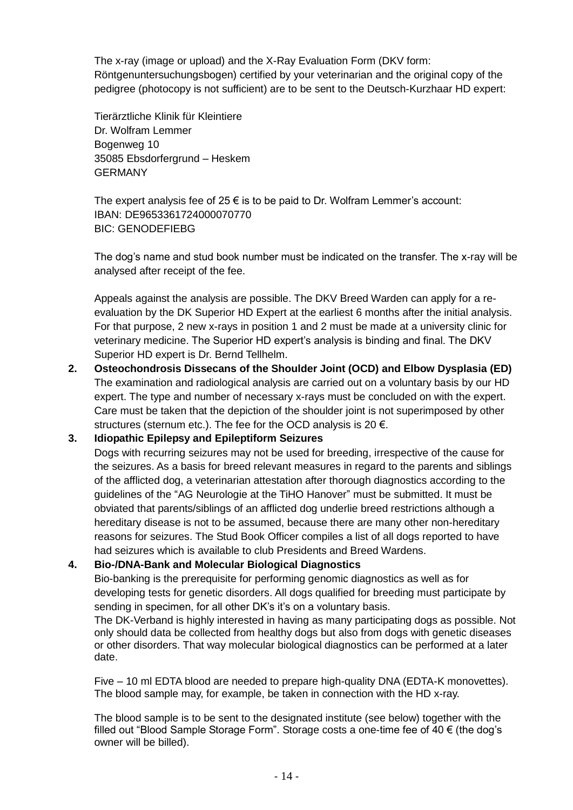The x-ray (image or upload) and the X-Ray Evaluation Form (DKV form: Röntgenuntersuchungsbogen) certified by your veterinarian and the original copy of the pedigree (photocopy is not sufficient) are to be sent to the Deutsch-Kurzhaar HD expert:

Tierärztliche Klinik für Kleintiere Dr. Wolfram Lemmer Bogenweg 10 35085 Ebsdorfergrund – Heskem GERMANY

The expert analysis fee of 25  $\epsilon$  is to be paid to Dr. Wolfram Lemmer's account: IBAN: DE9653361724000070770 BIC: GENODEFIEBG

The dog's name and stud book number must be indicated on the transfer. The x-ray will be analysed after receipt of the fee.

Appeals against the analysis are possible. The DKV Breed Warden can apply for a reevaluation by the DK Superior HD Expert at the earliest 6 months after the initial analysis. For that purpose, 2 new x-rays in position 1 and 2 must be made at a university clinic for veterinary medicine. The Superior HD expert's analysis is binding and final. The DKV Superior HD expert is Dr. Bernd Tellhelm.

**2. Osteochondrosis Dissecans of the Shoulder Joint (OCD) and Elbow Dysplasia (ED)** The examination and radiological analysis are carried out on a voluntary basis by our HD expert. The type and number of necessary x-rays must be concluded on with the expert. Care must be taken that the depiction of the shoulder joint is not superimposed by other structures (sternum etc.). The fee for the OCD analysis is 20  $\epsilon$ .

#### **3. Idiopathic Epilepsy and Epileptiform Seizures**

Dogs with recurring seizures may not be used for breeding, irrespective of the cause for the seizures. As a basis for breed relevant measures in regard to the parents and siblings of the afflicted dog, a veterinarian attestation after thorough diagnostics according to the guidelines of the "AG Neurologie at the TiHO Hanover" must be submitted. It must be obviated that parents/siblings of an afflicted dog underlie breed restrictions although a hereditary disease is not to be assumed, because there are many other non-hereditary reasons for seizures. The Stud Book Officer compiles a list of all dogs reported to have had seizures which is available to club Presidents and Breed Wardens.

#### **4. Bio-/DNA-Bank and Molecular Biological Diagnostics**

Bio-banking is the prerequisite for performing genomic diagnostics as well as for developing tests for genetic disorders. All dogs qualified for breeding must participate by sending in specimen, for all other DK's it's on a voluntary basis.

The DK-Verband is highly interested in having as many participating dogs as possible. Not only should data be collected from healthy dogs but also from dogs with genetic diseases or other disorders. That way molecular biological diagnostics can be performed at a later date.

Five – 10 ml EDTA blood are needed to prepare high-quality DNA (EDTA-K monovettes). The blood sample may, for example, be taken in connection with the HD x-ray.

The blood sample is to be sent to the designated institute (see below) together with the filled out "Blood Sample Storage Form". Storage costs a one-time fee of 40 € (the dog's owner will be billed).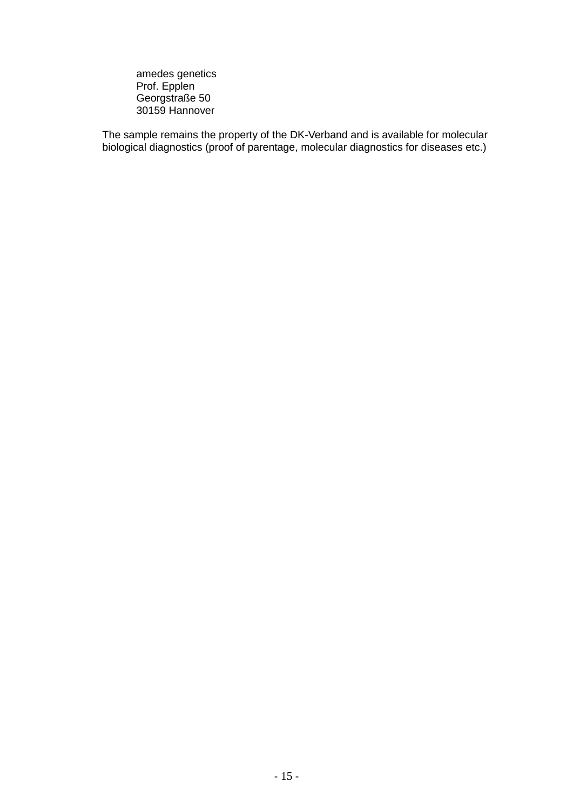amedes genetics Prof. Epplen Georgstraße 50 30159 Hannover

The sample remains the property of the DK-Verband and is available for molecular biological diagnostics (proof of parentage, molecular diagnostics for diseases etc.)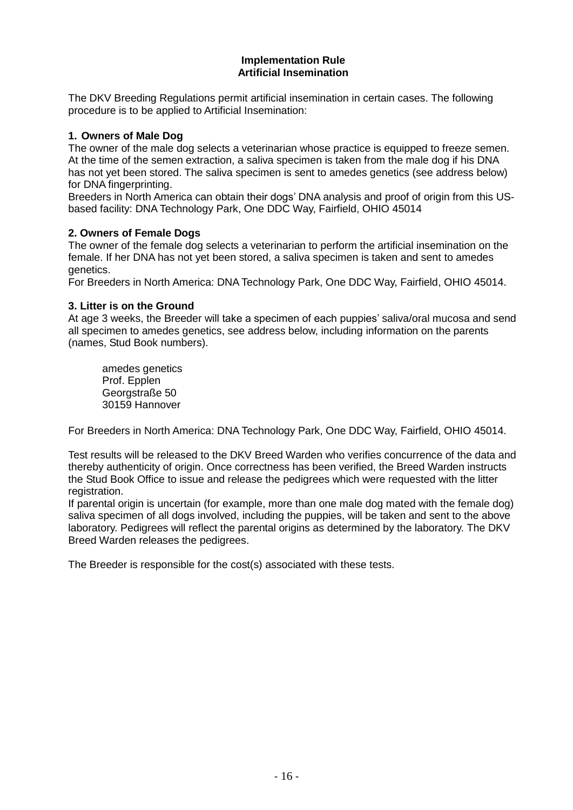#### **Implementation Rule Artificial Insemination**

The DKV Breeding Regulations permit artificial insemination in certain cases. The following procedure is to be applied to Artificial Insemination:

#### **1. Owners of Male Dog**

The owner of the male dog selects a veterinarian whose practice is equipped to freeze semen. At the time of the semen extraction, a saliva specimen is taken from the male dog if his DNA has not yet been stored. The saliva specimen is sent to amedes genetics (see address below) for DNA fingerprinting.

Breeders in North America can obtain their dogs' DNA analysis and proof of origin from this USbased facility: DNA Technology Park, One DDC Way, Fairfield, OHIO 45014

#### **2. Owners of Female Dogs**

The owner of the female dog selects a veterinarian to perform the artificial insemination on the female. If her DNA has not yet been stored, a saliva specimen is taken and sent to amedes genetics.

For Breeders in North America: DNA Technology Park, One DDC Way, Fairfield, OHIO 45014.

#### **3. Litter is on the Ground**

At age 3 weeks, the Breeder will take a specimen of each puppies' saliva/oral mucosa and send all specimen to amedes genetics, see address below, including information on the parents (names, Stud Book numbers).

amedes genetics Prof. Epplen Georgstraße 50 30159 Hannover

For Breeders in North America: DNA Technology Park, One DDC Way, Fairfield, OHIO 45014.

Test results will be released to the DKV Breed Warden who verifies concurrence of the data and thereby authenticity of origin. Once correctness has been verified, the Breed Warden instructs the Stud Book Office to issue and release the pedigrees which were requested with the litter registration.

If parental origin is uncertain (for example, more than one male dog mated with the female dog) saliva specimen of all dogs involved, including the puppies, will be taken and sent to the above laboratory. Pedigrees will reflect the parental origins as determined by the laboratory. The DKV Breed Warden releases the pedigrees.

The Breeder is responsible for the cost(s) associated with these tests.